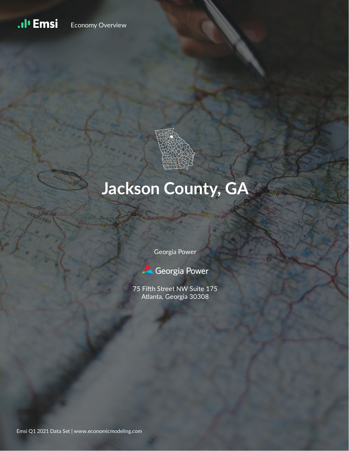#### .ıl<sup>ı</sup> Emsi Economy Overview



# **Jackson County, GA**

Georgia Power



75 Fifth Street NW Suite 175 Atlanta, Georgia 30308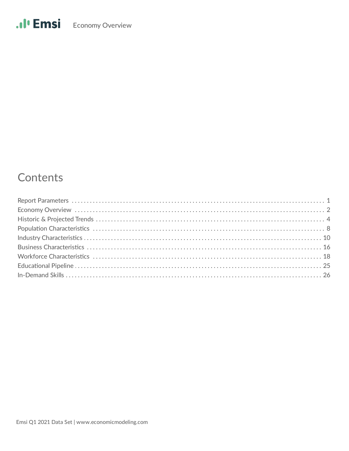## Contents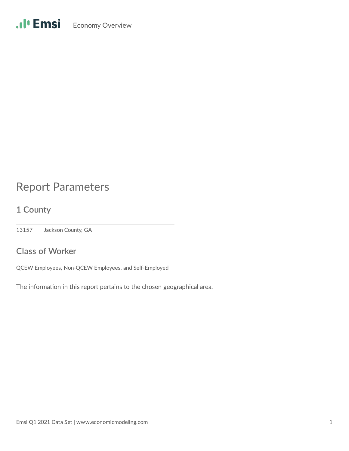## Report Parameters

**1 County**

13157 Jackson County, GA

### **Class of Worker**

QCEW Employees, Non-QCEW Employees, and Self-Employed

The information in this report pertains to the chosen geographical area.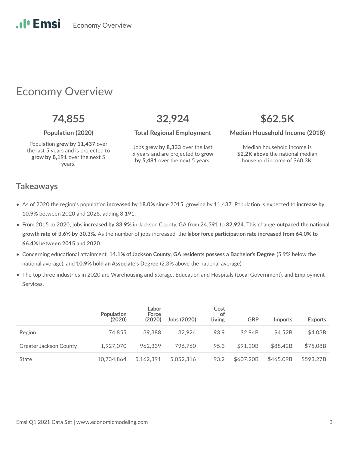## Economy Overview

Population grew by 11,437 over the last 5 years and is projected to **grow by 8,191** over the next 5 years.

**74,855 32,924 \$62.5K**

Jobs **grew by 8,333** over the last 5 years and are projected to **grow by 5,481** over the next 5 years.

**Population (2020)** Total Regional Employment Median Household Income (2018)

Median household income is **\$2.2K above** the national median household income of \$60.3K.

### **Takeaways**

.**.**. Emsi

- As of 2020 the region's population **increased by 18.0%** since 2015, growing by 11,437. Population is expected to **increase by 10.9%** between 2020 and 2025, adding 8,191.
- From 2015 to 2020, jobs increased by 33.9% in Jackson County, GA from 24,591 to 32,924. This change outpaced the national growth rate of 3.6% by 30.3%. As the number of jobs increased, the labor force participation rate increased from 64.0% to **66.4% between 2015 and 2020**.
- Concerning educational attainment, 14.1% of Jackson County, GA residents possess a Bachelor's Degree (5.9% below the national average), and 10.9% hold an Associate's Degree (2.3% above the national average).
- The top three industries in 2020 are Warehousing and Storage, Education and Hospitals (Local Government), and Employment Services.

|                               | Population<br>(2020) | Labor<br>Force<br>(2020) | Jobs (2020) | Cost<br>ot<br>Living | <b>GRP</b> | <b>Imports</b> | <b>Exports</b> |
|-------------------------------|----------------------|--------------------------|-------------|----------------------|------------|----------------|----------------|
| Region                        | 74.855               | 39.388                   | 32.924      | 93.9                 | \$2.94B    | \$4.52B        | \$4.03B        |
| <b>Greater Jackson County</b> | 1.927.070            | 962.339                  | 796.760     | 95.3                 | \$91.20B   | \$88.42B       | \$75.08B       |
| State                         | 10.734.864           | 5.162.391                | 5.052.316   | 93.2                 | \$607.20B  | \$465.09B      | \$593.27B      |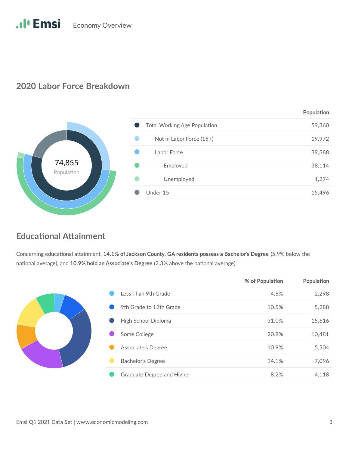### **2020 Labor Force Breakdown**



### **Educational Attainment**

Concerning educational attainment, 14.1% of Jackson County, GA residents possess a Bachelor's Degree (5.9% below the national average), and 10.9% hold an Associate's Degree (2.3% above the national average).

|  |                            | <b>TO OF FORD SHOP</b> | $1.9$ panation |
|--|----------------------------|------------------------|----------------|
|  | Less Than 9th Grade        | 4.6%                   | 2,298          |
|  | 9th Grade to 12th Grade    | 10.5%                  | 5,288          |
|  | High School Diploma        | 31.0%                  | 15,616         |
|  | Some College               | 20.8%                  | 10,481         |
|  | Associate's Degree         | 10.9%                  | 5,504          |
|  | <b>Bachelor's Degree</b>   | 14.1%                  | 7,096          |
|  | Graduate Degree and Higher | 8.2%                   | 4,118          |

**% of Population** Population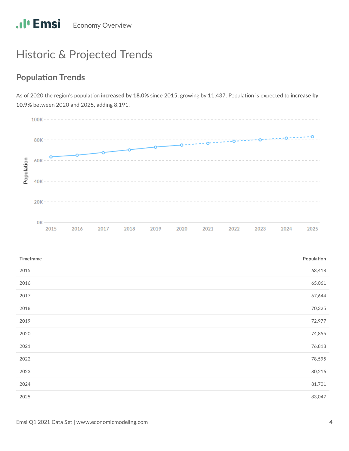# Historic & Projected Trends

## **Population Trends**

As of 2020 the region's population increased by 18.0% since 2015, growing by 11,437. Population is expected to increase by **10.9%** between 2020 and 2025, adding 8,191.



| Timeframe | Population |
|-----------|------------|
| 2015      | 63,418     |
| 2016      | 65,061     |
| 2017      | 67,644     |
| 2018      | 70,325     |
| 2019      | 72,977     |
| 2020      | 74,855     |
| 2021      | 76,818     |
| 2022      | 78,595     |
| 2023      | 80,216     |
| 2024      | 81,701     |
| 2025      | 83,047     |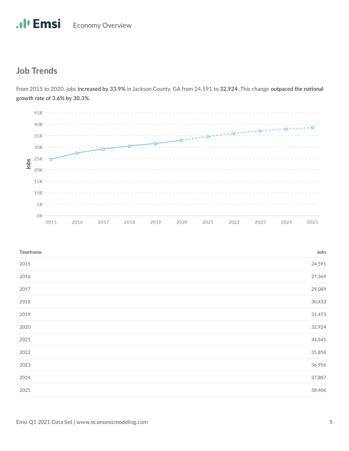## **Job Trends**

 $45K - - - - - - - - - - \circ$  $35K 30K -$ Jobs  $25K - -0$  $20K$  $15K 10K 5K \frac{1}{2}$  $0K -$ 2015 2016 2018 2019 2024 2017 2020 2021 2022 2023 2025

From 2015 to 2020, jobs increased by 33.9% in Jackson County, GA from 24,591 to 32,924. This change outpaced the national **growth rate of 3.6% by 30.3%**.

| Timeframe | Jobs   |
|-----------|--------|
| 2015      | 24,591 |
| 2016      | 27,369 |
| 2017      | 29,089 |
| 2018      | 30,433 |
| 2019      | 31,473 |
| 2020      | 32,924 |
| 2021      | 34,545 |
| 2022      | 35,858 |
| 2023      | 36,956 |
| 2024      | 37,887 |
| 2025      | 38,406 |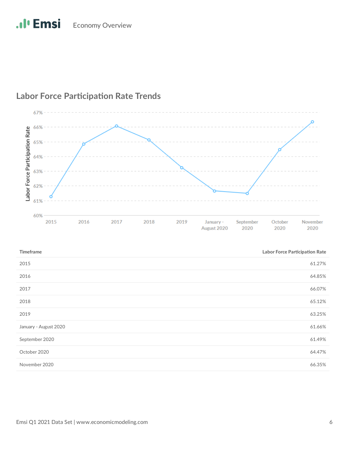

### **Labor Force Participation Rate Trends**

## 2015 61.27% 2016 64.85% 2017 66.07% 2018 65.12% 2019 63.25% January - August 2020 61.66% September 2020 61.49% 61.49% October 2020 64.47% November 2020 66.35% **Timeframe Labor Force Participation Rate**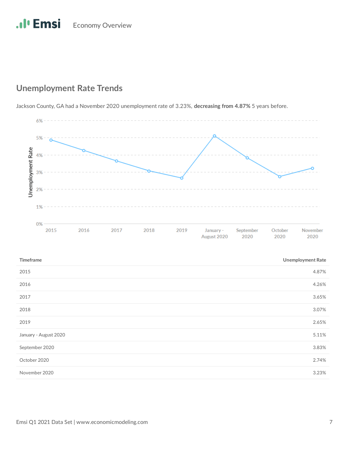### **Unemployment Rate Trends**

Jackson County, GA had a November 2020 unemployment rate of 3.23%, **decreasing from 4.87%** 5 years before.

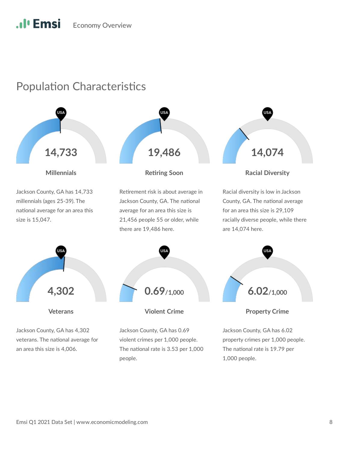## Population Characteristics

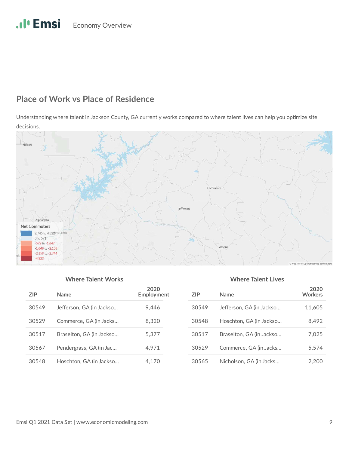# .Il<sup>t</sup> Emsi Economy Overview

### **Place of Work vs Place of Residence**

Understanding where talent in Jackson County, GA currently works compared to where talent lives can help you optimize site decisions.



### **Where Talent Works Where Talent Lives**

| 7IP   | <b>Name</b>              | 2020<br>Employment | ΖI |
|-------|--------------------------|--------------------|----|
| 30549 | Jefferson, GA (in Jackso | 9.446              | 30 |
| 30529 | Commerce, GA (in Jacks   | 8,320              | 30 |
| 30517 | Braselton, GA (in Jackso | 5.377              | 30 |
| 30567 | Pendergrass, GA (in Jac  | 4.971              | 30 |
| 30548 | Hoschton, GA (in Jackso  | 4.170              | 30 |

| <b>ZIP</b> | Name                     | 2020<br><b>Workers</b> |
|------------|--------------------------|------------------------|
| 30549      | Jefferson, GA (in Jackso | 11,605                 |
| 30548      | Hoschton, GA (in Jackso  | 8,492                  |
| 30517      | Braselton, GA (in Jackso | 7.025                  |
| 30529      | Commerce, GA (in Jacks   | 5,574                  |
| 30565      | Nicholson, GA (in Jacks  | 2.200                  |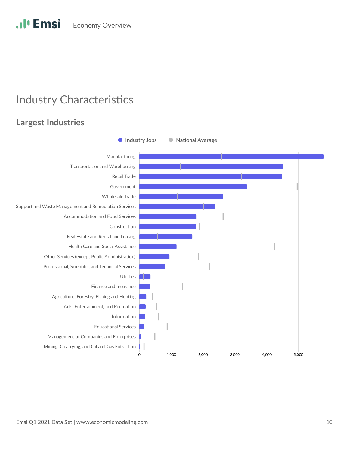#### .**.**I<sup>*l*</sup> Emsi **Economy Overview**

## **Industry Characteristics**

## **Largest Industries**

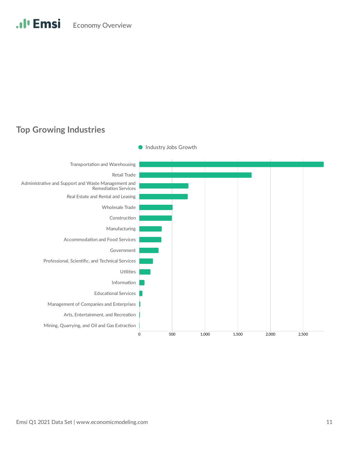### **Top Growing Industries**



Industry Jobs Growth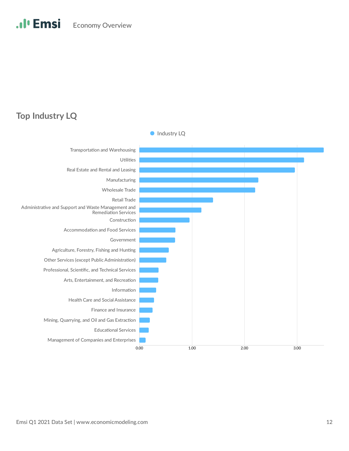### **Top Industry LQ**

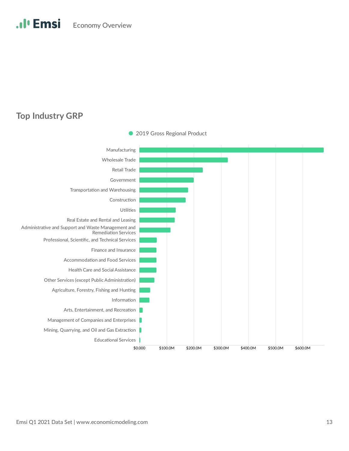### **Top Industry GRP**



• 2019 Gross Regional Product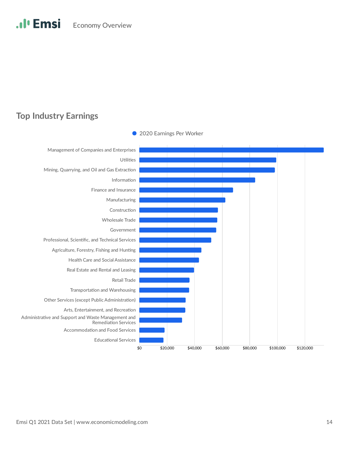### **Top Industry Earnings**



• 2020 Earnings Per Worker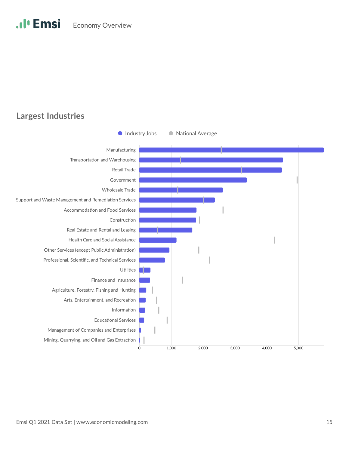### **Largest Industries**

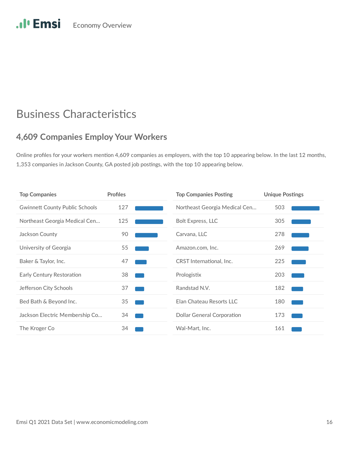## .Il<sup>t</sup> Emsi Economy Overview

## **Business Characteristics**

### **4,609 Companies Employ Your Workers**

Online profiles for your workers mention 4,609 companies as employers, with the top 10 appearing below. In the last 12 months, 1,353 companies in Jackson County, GA posted job postings, with the top 10 appearing below.

| <b>Top Companies</b>                  | <b>Profiles</b> | <b>Top Companies Posting</b>      | <b>Unique Postings</b> |
|---------------------------------------|-----------------|-----------------------------------|------------------------|
| <b>Gwinnett County Public Schools</b> | 127             | Northeast Georgia Medical Cen     | 503                    |
| Northeast Georgia Medical Cen         | 125             | <b>Bolt Express, LLC</b>          | 305                    |
| Jackson County                        | 90              | Carvana, LLC                      | 278                    |
| University of Georgia                 | 55              | Amazon.com, Inc.                  | 269                    |
| Baker & Taylor, Inc.                  | 47              | CRST International, Inc.          | 225                    |
| Early Century Restoration             | 38              | Prologistix                       | 203                    |
| Jefferson City Schools                | 37              | Randstad N.V.                     | 182                    |
| Bed Bath & Beyond Inc.                | 35              | Elan Chateau Resorts LLC          | 180                    |
| Jackson Electric Membership Co        | 34              | <b>Dollar General Corporation</b> | 173                    |
| The Kroger Co                         | 34              | Wal-Mart, Inc.                    | 161                    |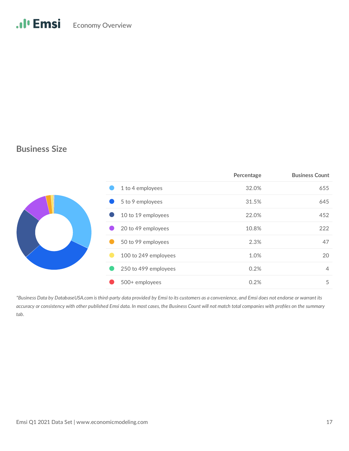### **Business Size**

|  |                      | Percentage | <b>Business Count</b> |
|--|----------------------|------------|-----------------------|
|  | 1 to 4 employees     | 32.0%      | 655                   |
|  | 5 to 9 employees     | 31.5%      | 645                   |
|  | 10 to 19 employees   | 22.0%      | 452                   |
|  | 20 to 49 employees   | 10.8%      | 222                   |
|  | 50 to 99 employees   | 2.3%       | 47                    |
|  | 100 to 249 employees | 1.0%       | 20                    |
|  | 250 to 499 employees | 0.2%       | $\overline{4}$        |
|  | 500+ employees       | 0.2%       | 5                     |

*\*Business Data by DatabaseUSA.com is third-party data provided by Emsi to its customers as a convenience, and Emsi does not endorse or warrant its accuracy or consistency with other published Emsi data. In most cases, the Business Count will not match total companies with profiles on the summary tab.*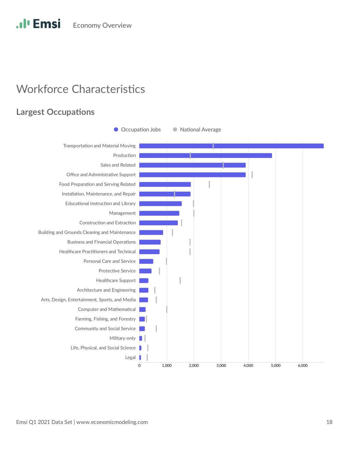## **Workforce Characteristics**

### **Largest Occupations**

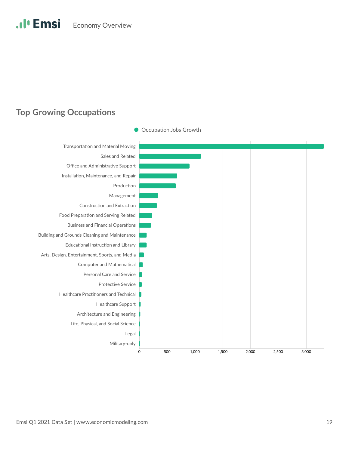### **Top Growing Occupations**

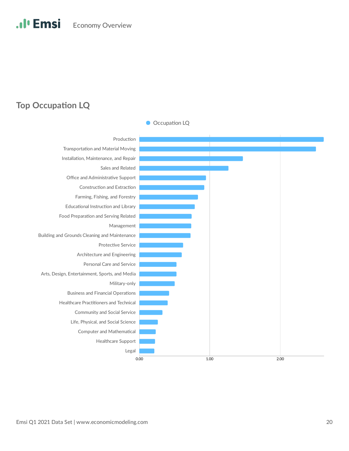### **Top Occupation LQ**

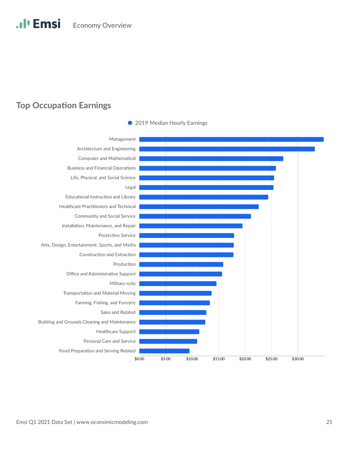### **Top Occupation Earnings**



• 2019 Median Hourly Earnings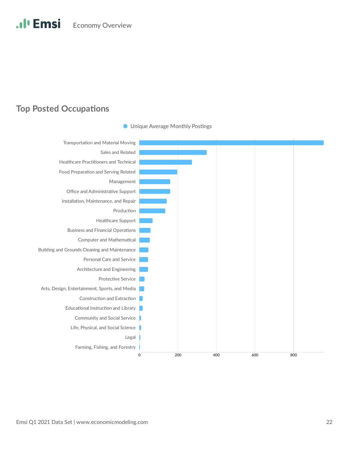### **Top Posted Occupations**



**O** Unique Average Monthly Postings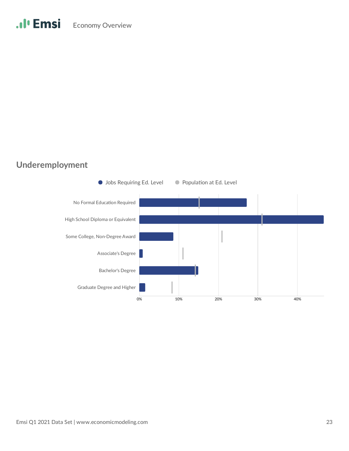## **Underemployment**

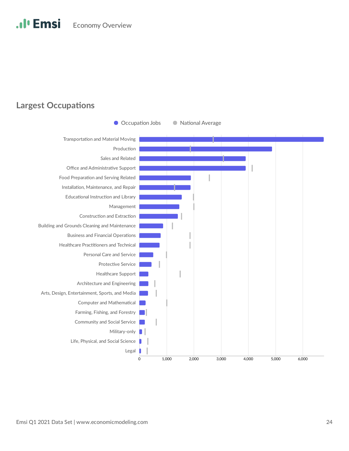### **Largest Occupations**

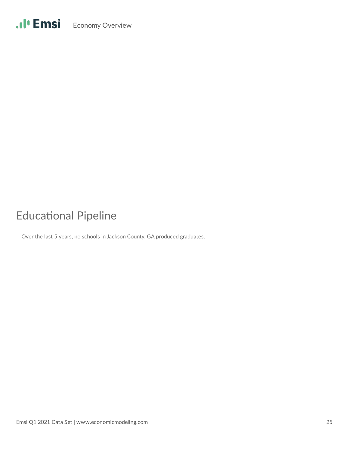# **Educational Pipeline**

Over the last 5 years, no schools in Jackson County, GA produced graduates.